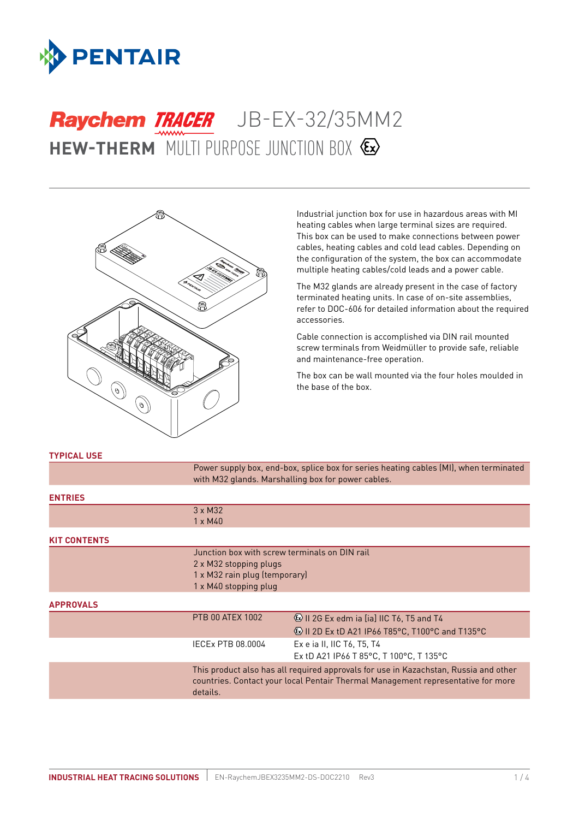

# **HEW-THERM** MULTI PURPOSE JUNCTION BOX Raychem TRACER JB-EX-32/35MM2



Industrial junction box for use in hazardous areas with MI heating cables when large terminal sizes are required. This box can be used to make connections between power cables, heating cables and cold lead cables. Depending on the configuration of the system, the box can accommodate multiple heating cables/cold leads and a power cable.

The M32 glands are already present in the case of factory terminated heating units. In case of on-site assemblies, refer to DOC-606 for detailed information about the required accessories.

Cable connection is accomplished via DIN rail mounted screw terminals from Weidmüller to provide safe, reliable and maintenance-free operation.

The box can be wall mounted via the four holes moulded in the base of the box.

Power supply box, end-box, splice box for series heating cables (MI), when terminated

#### **TYPICAL USE**

|                     | with M32 glands. Marshalling box for power cables.                                                                                                                                   |                                                                                                                 |  |
|---------------------|--------------------------------------------------------------------------------------------------------------------------------------------------------------------------------------|-----------------------------------------------------------------------------------------------------------------|--|
| <b>ENTRIES</b>      |                                                                                                                                                                                      |                                                                                                                 |  |
|                     | $3 \times M32$                                                                                                                                                                       |                                                                                                                 |  |
|                     | 1 x M40                                                                                                                                                                              |                                                                                                                 |  |
| <b>KIT CONTENTS</b> |                                                                                                                                                                                      |                                                                                                                 |  |
|                     | Junction box with screw terminals on DIN rail<br>2 x M32 stopping plugs<br>1 x M32 rain plug (temporary)<br>1 x M40 stopping plug                                                    |                                                                                                                 |  |
| <b>APPROVALS</b>    |                                                                                                                                                                                      |                                                                                                                 |  |
|                     | <b>PTB 00 ATEX 1002</b>                                                                                                                                                              | <b>&amp; II 2G Ex edm ia [ia] IIC T6, T5 and T4</b><br><b>(b)</b> II 2D Ex tD A21 IP66 T85°C, T100°C and T135°C |  |
|                     | IECEx PTB 08.0004                                                                                                                                                                    | Ex e ia II, IIC T6, T5, T4<br>Ex tD A21 IP66 T 85°C, T 100°C, T 135°C                                           |  |
|                     | This product also has all required approvals for use in Kazachstan, Russia and other<br>countries. Contact your local Pentair Thermal Management representative for more<br>details. |                                                                                                                 |  |
|                     |                                                                                                                                                                                      |                                                                                                                 |  |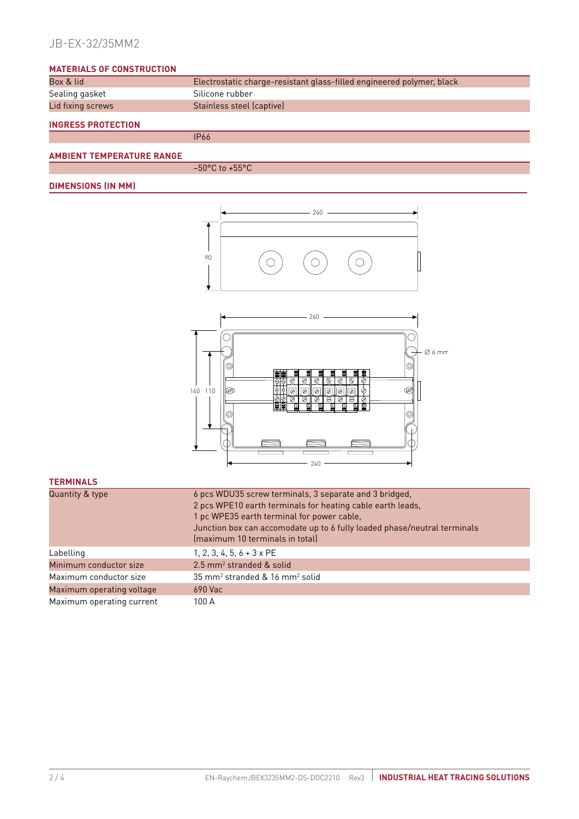# JB-EX-32/35MM2

## **MATERIALS OF CONSTRUCTION**

| Box & lid                 | Electrostatic charge-resistant glass-filled engineered polymer, black |
|---------------------------|-----------------------------------------------------------------------|
| Sealing gasket            | Silicone rubber                                                       |
| Lid fixing screws         | Stainless steel (captive)                                             |
| <b>INGRESS PROTECTION</b> |                                                                       |
|                           | <b>IP66</b>                                                           |

## **AMBIENT TEMPERATURE RANGE**

 $-50$ °C to  $+55$ °C

## **DIMENSIONS (IN MM)**





## **TERMINALS**

| Quantity & type           | 6 pcs WDU35 screw terminals, 3 separate and 3 bridged,<br>2 pcs WPE10 earth terminals for heating cable earth leads,<br>1 pc WPE35 earth terminal for power cable,<br>Junction box can accomodate up to 6 fully loaded phase/neutral terminals<br>(maximum 10 terminals in total) |
|---------------------------|-----------------------------------------------------------------------------------------------------------------------------------------------------------------------------------------------------------------------------------------------------------------------------------|
| Labelling                 | 1, 2, 3, 4, 5, $6 + 3 \times PE$                                                                                                                                                                                                                                                  |
| Minimum conductor size    | $2.5$ mm <sup>2</sup> stranded & solid                                                                                                                                                                                                                                            |
| Maximum conductor size    | 35 mm <sup>2</sup> stranded & 16 mm <sup>2</sup> solid                                                                                                                                                                                                                            |
| Maximum operating voltage | $690$ Vac                                                                                                                                                                                                                                                                         |
| Maximum operating current | 100 A                                                                                                                                                                                                                                                                             |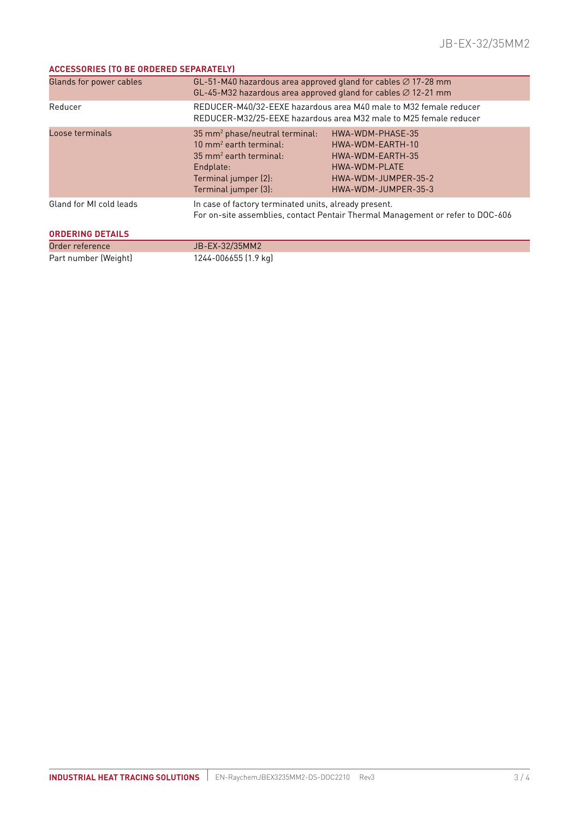## **ACCESSORIES (TO BE ORDERED SEPARATELY)**

| Glands for power cables | GL-51-M40 hazardous area approved gland for cables $\varnothing$ 17-28 mm<br>GL-45-M32 hazardous area approved gland for cables $\varnothing$ 12-21 mm                            |                                                                                                                         |  |  |
|-------------------------|-----------------------------------------------------------------------------------------------------------------------------------------------------------------------------------|-------------------------------------------------------------------------------------------------------------------------|--|--|
| Reducer                 | REDUCER-M40/32-EEXE hazardous area M40 male to M32 female reducer<br>REDUCER-M32/25-EEXE hazardous area M32 male to M25 female reducer                                            |                                                                                                                         |  |  |
| Loose terminals         | 35 mm <sup>2</sup> phase/neutral terminal:<br>$10 \text{ mm}^2$ earth terminal:<br>$35 \text{ mm}^2$ earth terminal:<br>Endplate:<br>Terminal jumper (2):<br>Terminal jumper (3): | HWA-WDM-PHASE-35<br>HWA-WDM-EARTH-10<br>HWA-WDM-EARTH-35<br>HWA-WDM-PLATE<br>HWA-WDM-JUMPER-35-2<br>HWA-WDM-JUMPER-35-3 |  |  |
| Gland for MI cold leads | In case of factory terminated units, already present.<br>For on-site assemblies, contact Pentair Thermal Management or refer to DOC-606                                           |                                                                                                                         |  |  |
| <b>ORDERING DETAILS</b> |                                                                                                                                                                                   |                                                                                                                         |  |  |
| Order reference         | JB-EX-32/35MM2                                                                                                                                                                    |                                                                                                                         |  |  |
| Part number (Weight)    | 1244-006655 (1.9 kg)                                                                                                                                                              |                                                                                                                         |  |  |